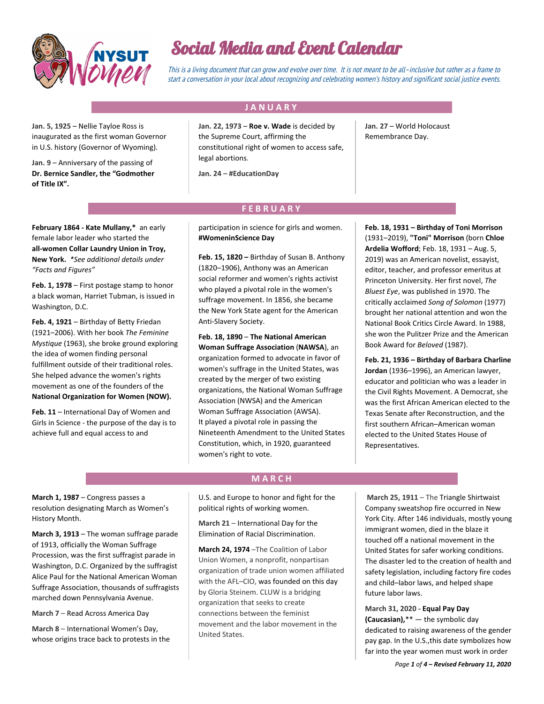

# Social Media and Event Calendar

This is <sup>a</sup> living document that can grow and evolve over time. It is not meant to be all–inclusive but rather as <sup>a</sup> frame to start <sup>a</sup> conversation in your local about recognizing and celebrating women's history and significant social justice events.

### **J A N U A R Y .**

**Jan. 5, 1925** – Nellie Tayloe Ross is inaugurated as the first woman Governor in U.S. history (Governor of Wyoming).

**Jan. 9** – Anniversary of the passing of **Dr. Bernice Sandler, the "Godmother of Title IX".**

**Jan. 22, 1973** – **Roe v. Wade** is decided by the Supreme Court, affirming the constitutional right of women to access safe, legal abortions.

**Jan. 24** – **#EducationDay**

**Jan. 27** – World Holocaust Remembrance Day.

# **F E B R U A R Y .**

**February 1864 - Kate Mullany,\*** an early female labor leader who started the **all-women Collar Laundry Union in Troy, New York.** *\*See additional details under "Facts and Figures"*

**Feb. 1, 1978** – First postage stamp to honor a black woman, Harriet Tubman, is issued in Washington, D.C.

Feb. 4, 1921 - Birthday of Betty Friedan (1921–2006). With her book *The Feminine Mystique* (1963), she broke ground exploring the idea of women finding personal fulfillment outside of their traditional roles. She helped advance the women's rights movement as one of the founders of the **National Organization for Women (NOW).**

**Feb. 11** – International Day of Women and Girls in Science - the purpose of the day is to achieve full and equal access to and

participation in science for girls and women. **#WomeninScience Day**

**Feb. 15, 1820 –** Birthday of Susan B. Anthony (1820–1906), Anthony was an American social reformer and women's rights activist who played a pivotal role in the women's suffrage movement. In 1856, she became the New York State agent for the American Anti-Slavery Society.

**Feb. 18, 1890** – **The National American Woman Suffrage Association** (**NAWSA**), an organization formed to advocate in favor of women's suffrage in the United States, was created by the merger of two existing organizations, the National Woman Suffrage Association (NWSA) and the American Woman Suffrage Association (AWSA). It played a pivotal role in passing the Nineteenth Amendment to the United States Constitution, which, in 1920, guaranteed women's right to vote.

**Feb. 18, 1931 – Birthday of Toni Morrison** (1931–2019), **"Toni" Morrison** (born **Chloe Ardelia Wofford**; Feb. 18, 1931 – Aug. 5, 2019) was an American novelist, essayist, editor, teacher, and professor emeritus at Princeton University. Her first novel, *The Bluest Eye*, was published in 1970. The critically acclaimed *Song of Solomon* (1977) brought her national attention and won the National Book Critics Circle Award. In 1988, she won the Pulitzer Prize and the [A](https://en.wikipedia.org/wiki/American_Book_Awards)merican Book Award for *Beloved* (1987).

**Feb. 21, 1936 – Birthday of Barbara Charline Jordan** (1936–1996), an American lawyer, educator and politician who was a leader in the Civil Rights Movement. A Democrat, she was the first African American elected to the Texas Senate after Reconstruction, and the first southern African–American woman elected to the United States House of Representatives.

**March 1, 1987** – Congress passes a resolution designating March as Women's History Month.

**March 3, 1913** – The woman suffrage parade of 1913, officially the Woman Suffrage Procession, was the first suffragist parade in Washington, D.C. Organized by the suffragist [Alice Paul](https://en.wikipedia.org/wiki/Alice_Paul) for th[e National American Woman](https://en.wikipedia.org/wiki/National_American_Woman_Suffrage_Association) [Suffrage Association](https://en.wikipedia.org/wiki/National_American_Woman_Suffrage_Association), thousands of suffragists marched down [Pennsylvania Avenue](https://en.wikipedia.org/wiki/Pennsylvania_Avenue).

**March 7** – Read Across America Day

**March 8** – International Women's Day, whose origins trace back to protests in the

#### **M A R C H .**

U.S. and Europe to honor and fight for the political rights of working women.

**March 21** – International Day for the Elimination of Racial Discrimination.

**March 24, 1974** –The Coalition of Labor Union Women, a nonprofit, nonpartisan organization of trade union women affiliated with the AFL–CIO, was founded on this day by Gloria Steinem. CLUW is a bridging organization that seeks to create connections between the feminist movement and the labor movement in the United States.

**March 25, 1911** – The Triangle Shirtwaist Company sweatshop fire occurred in New York City. After 146 individuals, mostly young immigrant women, died in the blaze it touched off a national movement in the United States for safer working conditions. The disaster led to the creation of health and safety legislation, including factory fire codes and child–labor laws, and helped shape future labor laws.

**March 31, 2020 - Equal Pay Day (Caucasian),**\*\* — the symbolic day dedicated to raising awareness of the gender pay gap. In the U.S.,this date symbolizes how far into the year women must work in order

*Page 1 of 4 – Revised February 11, 2020*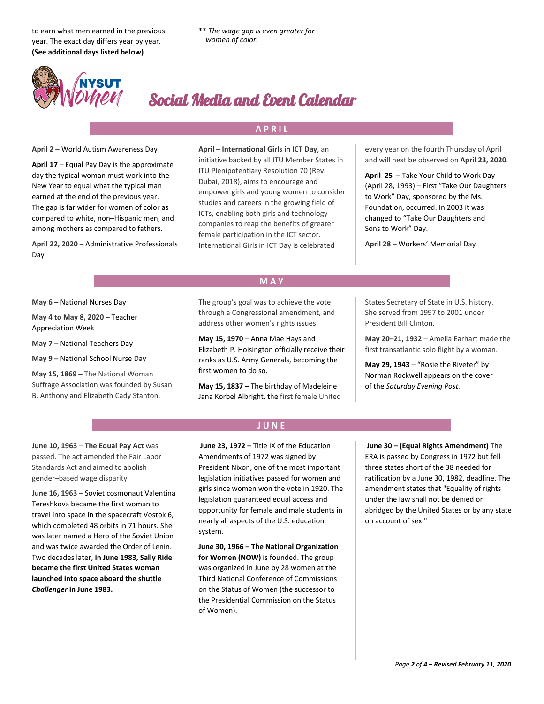to earn what men earned in the previous year. The exact day differs year by year. **(See additional days listed below)**



# Social Media and Event Calendar

## **A P R I L .**

#### **April 2** – World Autism Awareness Day

**April 17** – Equal Pay Day is the approximate day the typical woman must work into the New Year to equal what the typical man earned at the end of the previous year. The gap is far wider for women of color as compared to white, non–Hispanic men, and among mothers as compared to fathers.

**April 22, 2020** – Administrative Professionals Day

**April** – **International Girls in ICT Day**, an initiative backed by all ITU Member States in ITU Plenipotentiary Resolution 70 (Rev. Dubai, 2018), aims to encourage and empower girls and young women to consider studies and careers in the growing field of ICTs, enabling both girls and technology companies to reap the benefits of greater female participation in the ICT sector. International Girls in ICT Day is celebrated

every year on the fourth Thursday of April and will next be observed on **April 23, 2020**.

**April 25** – Take Your Child to Work Day (April 28, 1993) – First "Take Our Daughters to Work" Day, sponsored by the Ms. Foundation, occurred. In 2003 it was changed to "Take Our Daughters and Sons to Work" Day.

**April 28** – Workers' Memorial Day

**M A Y .**

**May 6 –** National Nurses Day

**May 4 to May 8, 2020 –** Teacher Appreciation Week

**May 7 –** National Teachers Day

**May 9 –** National School Nurse Day

**May 15, 1869 –** The National Woman Suffrage Association was founded by Susan B. Anthony and Elizabeth Cady Stanton.

The group's goal was to achieve the vote through a Congressional amendment, and address other women's rights issues.

**May 15, 1970** – Anna Mae Hays and Elizabeth P. Hoisington officially receive their ranks as U.S. Army Generals, becoming the first women to do so.

**May 15, 1837 –** The birthday of Madeleine Jana Korbel Albright, the first female United States Secretary of State in U.S. history. She served from 1997 to 2001 under President Bill Clinton.

**May 20–21, 1932** – Amelia Earhart made the first transatlantic solo flight by a woman.

**May 29, 1943** – "Rosie the Riveter" by Norman Rockwell appears on the cover of the *Saturday Evening Post.*

**June 10, 1963** – **The Equal Pay Act** was passed. The act amended the Fair Labor Standards Act and aimed to abolish gender–based wage disparity.

**June 16, 1963** – Soviet cosmonaut Valentina Tereshkova became the first woman to travel into space in the spacecraft Vostok 6, which completed 48 orbits in 71 hours. She was later named a Hero of the Soviet Union and was twice awarded the Order of Lenin. Two decades later, **in June 1983, Sally Ride became the first United States woman launched into space aboard the shuttle** *Challenger* **in June 1983.**

# **J U N E .**

**June 23, 1972 –** Title IX of the Education Amendments of 1972 was signed by President Nixon, one of the most important legislation initiatives passed for women and girls since women won the vote in 1920. The legislation guaranteed equal access and opportunity for female and male students in nearly all aspects of the U.S. education system.

**June 30, 1966 – The National Organization for Women (NOW)** is founded. The group was organized in June by 28 women at the Third National Conference of Commissions on the Status of Women (the successor to the [Presidential Commission on the Status](https://en.wikipedia.org/wiki/Presidential_Commission_on_the_Status_of_Women) [of Women](https://en.wikipedia.org/wiki/Presidential_Commission_on_the_Status_of_Women)).

 **June 30 – (Equal Rights Amendment)** The ERA is passed by Congress in 1972 but fell three states short of the 38 needed for ratification by a June 30, 1982, deadline. The amendment states that "Equality of rights under the law shall not be denied or abridged by the United States or by any state on account of sex."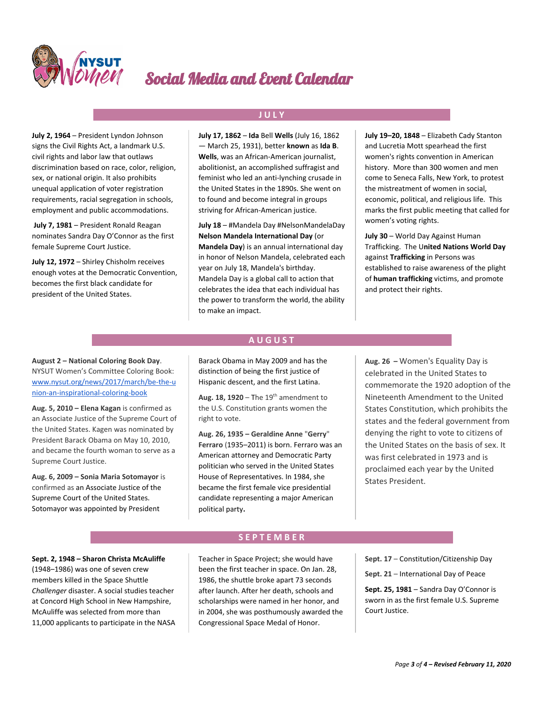

# Social Media and Event Calendar

**July 2, 1964** – President Lyndon Johnson signs the Civil Rights Act, a landmark U.S. civil rights and labor law that outlaws discrimination based on race, color, religion, sex, or national origin. It also prohibits unequal application of voter registration requirements, racial segregation in schools, employment and public accommodations.

 **July 7, 1981** – President Ronald Reagan nominates Sandra Day O'Connor as the first female Supreme Court Justice.

**July 12, 1972** – Shirley Chisholm receives enough votes at the Democratic Convention, becomes the first black candidate for president of the United States.

**July 17, 1862** – **Ida** Bell **Wells** (July 16, 1862 — March 25, 1931), better **known** as **Ida B**. **Wells**, was an African-American journalist, abolitionist, an accomplished suffragist and feminist who led an anti-lynching crusade in the United States in the 1890s. She went on to found and become integral in groups striving for African-American justice.

**J U L Y .**

**July 18** – #Mandela Day #NelsonMandelaDay **Nelson Mandela International Day** (or **Mandela Day**) is an annual international day in honor of Nelson Mandela, celebrated each year on July 18, Mandela's birthday. Mandela Day is a global call to action that celebrates the idea that each individual has the power to transform the world, the ability to make an impact.

**July 19–20, 1848** – Elizabeth Cady Stanton and Lucretia Mott spearhead the first women's rights convention in American history. More than 300 women and men come to Seneca Falls, New York, to protest the mistreatment of women in social, economic, political, and religious life. This marks the first public meeting that called for women's voting rights.

**July 30** – World Day Against Human Trafficking. The U**nited Nations World Day** against **Trafficking** in Persons was established to raise awareness of the plight of **human trafficking** victims, and promote and protect their rights.

**August 2 – National Coloring Book Day**. NYSUT Women's Committee Coloring Book: [www.nysut.org/news/2017/march/be-the-u](https://www.nysut.org/news/2017/march/be-the-union-an-inspirational-coloring-book) [nion-an-inspirational-coloring-book](https://www.nysut.org/news/2017/march/be-the-union-an-inspirational-coloring-book)

**Aug. 5, 2010 – Elena Kagan** is confirmed as an Associate Justice of the Supreme Court of the United States. Kagen was nominated by President Barack Obama on May 10, 2010, and became the fourth woman to serve as a Supreme Court Justice.

**Aug. 6, 2009 – Sonia Maria Sotomayor** is confirmed as an Associate Justice of the Supreme Court of the United States. Sotomayor was appointed by President

## **A U G U S T .**

Barack Obama in May 2009 and has the distinction of being the first justice of [Hispanic](https://en.wikipedia.org/wiki/Hispanic) descent, and the first [Latina](https://en.wikipedia.org/wiki/Latina).

**Aug. 18, 1920 – The 19<sup>th</sup> amendment to** the U.S. Constitution grants women the right to vote.

**Aug. 26, 1935 – Geraldine Anne** "**Gerry**" **Ferraro** (1935–2011) is born. Ferraro was an American attorney and Democratic Party politician who served in the United States House of Representatives. In 1984, she became the first female vice presidential candidate representing a [major](https://en.wikipedia.org/wiki/Major_party) [American](https://en.wikipedia.org/wiki/Political_parties_in_the_United_States) [political party](https://en.wikipedia.org/wiki/Political_parties_in_the_United_States)**.**

**Aug. 26 –** Women's Equality Day is celebrated in the United States to commemorate the 1920 adoption of the Nineteenth Amendment to the United States Constitution, which prohibits the states and the federal government from denying the right to vote to citizens of the United States on the basis of sex. It was first celebrated in 1973 and is proclaimed each year by the United States President.

### **Sept. 2, 1948 – Sharon Christa McAuliffe** (1948–1986) was one of seven crew members killed in the Space Shuttle *Challenger* disaster. A social studies teacher at Concord High School in [New Hampshire](https://en.wikipedia.org/wiki/New_Hampshire), McAuliffe was selected from more than 11,000 applicants to participate in the NAS[A](https://en.wikipedia.org/wiki/Teacher_in_Space_Project)

[Teacher in Space Project;](https://en.wikipedia.org/wiki/Teacher_in_Space_Project) she would have been the first teacher in space. On Jan. 28, 1986, the shuttle broke apart 73 seconds after launch. After her death, schools and scholarships were named in her honor, and in 2004, she was posthumously awarded the Congressional Space Medal of Honor.

**S E P T E M B E R .**

**Sept. 17** – Constitution/Citizenship Day **Sept. 21** – International Day of Peace **Sept. 25, 1981** – Sandra Day O'Connor is sworn in as the first female U.S. Supreme

Court Justice.